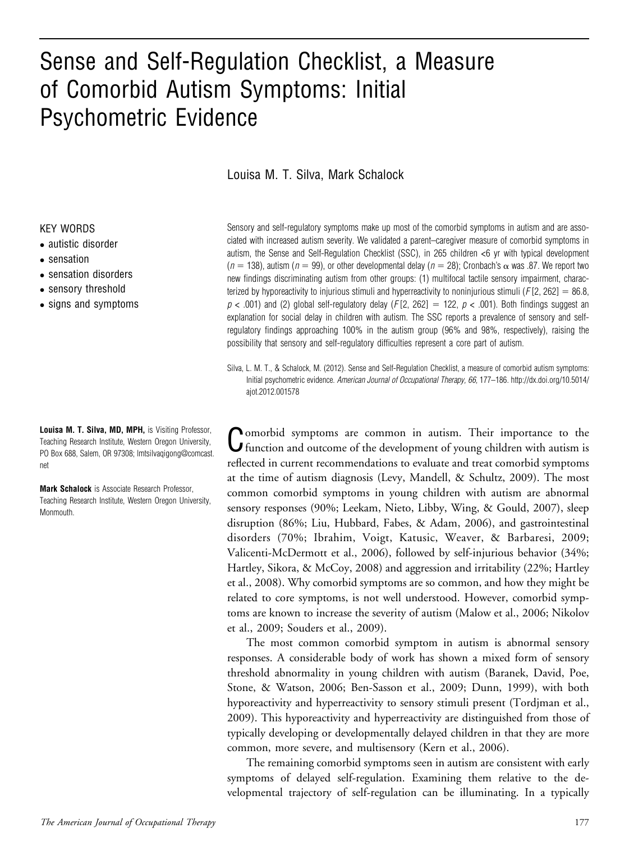# Sense and Self-Regulation Checklist, a Measure of Comorbid Autism Symptoms: Initial Psychometric Evidence

Louisa M. T. Silva, Mark Schalock

#### KEY WORDS

- autistic disorder
- sensation
- sensation disorders
- sensory threshold
- signs and symptoms

Louisa M. T. Silva, MD, MPH, is Visiting Professor, Teaching Research Institute, Western Oregon University, PO Box 688, Salem, OR 97308; lmtsilvaqigong@comcast. net

Mark Schalock is Associate Research Professor, Teaching Research Institute, Western Oregon University, Monmouth.

Sensory and self-regulatory symptoms make up most of the comorbid symptoms in autism and are associated with increased autism severity. We validated a parent–caregiver measure of comorbid symptoms in autism, the Sense and Self-Regulation Checklist (SSC), in 265 children <6 yr with typical development  $(n = 138)$ , autism  $(n = 99)$ , or other developmental delay  $(n = 28)$ ; Cronbach's  $\alpha$  was .87. We report two new findings discriminating autism from other groups: (1) multifocal tactile sensory impairment, characterized by hyporeactivity to injurious stimuli and hyperreactivity to noninjurious stimuli (F[2, 262] = 86.8,  $p$  < .001) and (2) global self-regulatory delay (F[2, 262] = 122,  $p$  < .001). Both findings suggest an explanation for social delay in children with autism. The SSC reports a prevalence of sensory and selfregulatory findings approaching 100% in the autism group (96% and 98%, respectively), raising the possibility that sensory and self-regulatory difficulties represent a core part of autism.

Silva, L. M. T., & Schalock, M. (2012). Sense and Self-Regulation Checklist, a measure of comorbid autism symptoms: Initial psychometric evidence. American Journal of Occupational Therapy, 66, 177–186. http://dx.doi.org/10.5014/ ajot.2012.001578

Comorbid symptoms are common in autism. Their importance to the function and outcome of the development of young children with autism is reflected in current recommendations to evaluate and treat comorbid symptoms at the time of autism diagnosis (Levy, Mandell, & Schultz, 2009). The most common comorbid symptoms in young children with autism are abnormal sensory responses (90%; Leekam, Nieto, Libby, Wing, & Gould, 2007), sleep disruption (86%; Liu, Hubbard, Fabes, & Adam, 2006), and gastrointestinal disorders (70%; Ibrahim, Voigt, Katusic, Weaver, & Barbaresi, 2009; Valicenti-McDermott et al., 2006), followed by self-injurious behavior (34%; Hartley, Sikora, & McCoy, 2008) and aggression and irritability (22%; Hartley et al., 2008). Why comorbid symptoms are so common, and how they might be related to core symptoms, is not well understood. However, comorbid symptoms are known to increase the severity of autism (Malow et al., 2006; Nikolov et al., 2009; Souders et al., 2009).

The most common comorbid symptom in autism is abnormal sensory responses. A considerable body of work has shown a mixed form of sensory threshold abnormality in young children with autism (Baranek, David, Poe, Stone, & Watson, 2006; Ben-Sasson et al., 2009; Dunn, 1999), with both hyporeactivity and hyperreactivity to sensory stimuli present (Tordjman et al., 2009). This hyporeactivity and hyperreactivity are distinguished from those of typically developing or developmentally delayed children in that they are more common, more severe, and multisensory (Kern et al., 2006).

The remaining comorbid symptoms seen in autism are consistent with early symptoms of delayed self-regulation. Examining them relative to the developmental trajectory of self-regulation can be illuminating. In a typically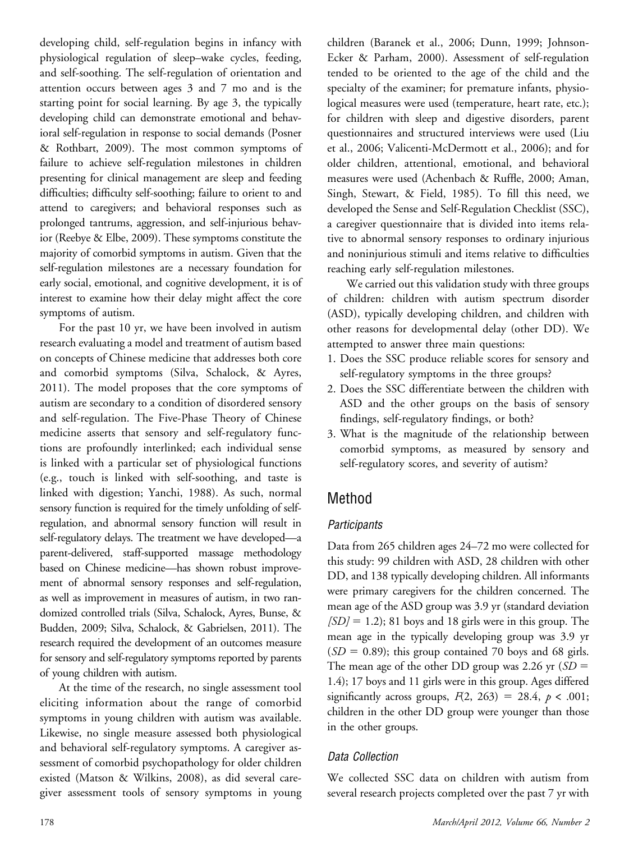developing child, self-regulation begins in infancy with physiological regulation of sleep–wake cycles, feeding, and self-soothing. The self-regulation of orientation and attention occurs between ages 3 and 7 mo and is the starting point for social learning. By age 3, the typically developing child can demonstrate emotional and behavioral self-regulation in response to social demands (Posner & Rothbart, 2009). The most common symptoms of failure to achieve self-regulation milestones in children presenting for clinical management are sleep and feeding difficulties; difficulty self-soothing; failure to orient to and attend to caregivers; and behavioral responses such as prolonged tantrums, aggression, and self-injurious behavior (Reebye & Elbe, 2009). These symptoms constitute the majority of comorbid symptoms in autism. Given that the self-regulation milestones are a necessary foundation for early social, emotional, and cognitive development, it is of interest to examine how their delay might affect the core symptoms of autism.

For the past 10 yr, we have been involved in autism research evaluating a model and treatment of autism based on concepts of Chinese medicine that addresses both core and comorbid symptoms (Silva, Schalock, & Ayres, 2011). The model proposes that the core symptoms of autism are secondary to a condition of disordered sensory and self-regulation. The Five-Phase Theory of Chinese medicine asserts that sensory and self-regulatory functions are profoundly interlinked; each individual sense is linked with a particular set of physiological functions (e.g., touch is linked with self-soothing, and taste is linked with digestion; Yanchi, 1988). As such, normal sensory function is required for the timely unfolding of selfregulation, and abnormal sensory function will result in self-regulatory delays. The treatment we have developed—a parent-delivered, staff-supported massage methodology based on Chinese medicine—has shown robust improvement of abnormal sensory responses and self-regulation, as well as improvement in measures of autism, in two randomized controlled trials (Silva, Schalock, Ayres, Bunse, & Budden, 2009; Silva, Schalock, & Gabrielsen, 2011). The research required the development of an outcomes measure for sensory and self-regulatory symptoms reported by parents of young children with autism.

At the time of the research, no single assessment tool eliciting information about the range of comorbid symptoms in young children with autism was available. Likewise, no single measure assessed both physiological and behavioral self-regulatory symptoms. A caregiver assessment of comorbid psychopathology for older children existed (Matson & Wilkins, 2008), as did several caregiver assessment tools of sensory symptoms in young children (Baranek et al., 2006; Dunn, 1999; Johnson-Ecker & Parham, 2000). Assessment of self-regulation tended to be oriented to the age of the child and the specialty of the examiner; for premature infants, physiological measures were used (temperature, heart rate, etc.); for children with sleep and digestive disorders, parent questionnaires and structured interviews were used (Liu et al., 2006; Valicenti-McDermott et al., 2006); and for older children, attentional, emotional, and behavioral measures were used (Achenbach & Ruffle, 2000; Aman, Singh, Stewart, & Field, 1985). To fill this need, we developed the Sense and Self-Regulation Checklist (SSC), a caregiver questionnaire that is divided into items relative to abnormal sensory responses to ordinary injurious and noninjurious stimuli and items relative to difficulties reaching early self-regulation milestones.

We carried out this validation study with three groups of children: children with autism spectrum disorder (ASD), typically developing children, and children with other reasons for developmental delay (other DD). We attempted to answer three main questions:

- 1. Does the SSC produce reliable scores for sensory and self-regulatory symptoms in the three groups?
- 2. Does the SSC differentiate between the children with ASD and the other groups on the basis of sensory findings, self-regulatory findings, or both?
- 3. What is the magnitude of the relationship between comorbid symptoms, as measured by sensory and self-regulatory scores, and severity of autism?

# Method

# **Participants**

Data from 265 children ages 24–72 mo were collected for this study: 99 children with ASD, 28 children with other DD, and 138 typically developing children. All informants were primary caregivers for the children concerned. The mean age of the ASD group was 3.9 yr (standard deviation  $[SD] = 1.2$ ; 81 boys and 18 girls were in this group. The mean age in the typically developing group was 3.9 yr  $(SD = 0.89)$ ; this group contained 70 boys and 68 girls. The mean age of the other DD group was 2.26 yr  $(SD =$ 1.4); 17 boys and 11 girls were in this group. Ages differed significantly across groups,  $F(2, 263) = 28.4$ ,  $p < .001$ ; children in the other DD group were younger than those in the other groups.

# Data Collection

We collected SSC data on children with autism from several research projects completed over the past 7 yr with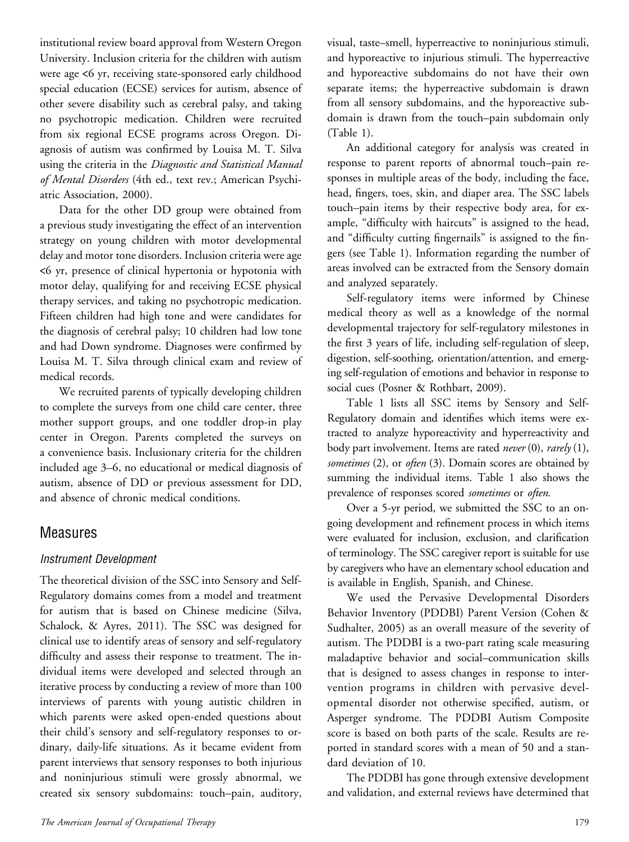institutional review board approval from Western Oregon University. Inclusion criteria for the children with autism were age <6 yr, receiving state-sponsored early childhood special education (ECSE) services for autism, absence of other severe disability such as cerebral palsy, and taking no psychotropic medication. Children were recruited from six regional ECSE programs across Oregon. Diagnosis of autism was confirmed by Louisa M. T. Silva using the criteria in the Diagnostic and Statistical Manual of Mental Disorders (4th ed., text rev.; American Psychiatric Association, 2000).

Data for the other DD group were obtained from a previous study investigating the effect of an intervention strategy on young children with motor developmental delay and motor tone disorders. Inclusion criteria were age <6 yr, presence of clinical hypertonia or hypotonia with motor delay, qualifying for and receiving ECSE physical therapy services, and taking no psychotropic medication. Fifteen children had high tone and were candidates for the diagnosis of cerebral palsy; 10 children had low tone and had Down syndrome. Diagnoses were confirmed by Louisa M. T. Silva through clinical exam and review of medical records.

We recruited parents of typically developing children to complete the surveys from one child care center, three mother support groups, and one toddler drop-in play center in Oregon. Parents completed the surveys on a convenience basis. Inclusionary criteria for the children included age 3–6, no educational or medical diagnosis of autism, absence of DD or previous assessment for DD, and absence of chronic medical conditions.

# Measures

#### Instrument Development

The theoretical division of the SSC into Sensory and Self-Regulatory domains comes from a model and treatment for autism that is based on Chinese medicine (Silva, Schalock, & Ayres, 2011). The SSC was designed for clinical use to identify areas of sensory and self-regulatory difficulty and assess their response to treatment. The individual items were developed and selected through an iterative process by conducting a review of more than 100 interviews of parents with young autistic children in which parents were asked open-ended questions about their child's sensory and self-regulatory responses to ordinary, daily-life situations. As it became evident from parent interviews that sensory responses to both injurious and noninjurious stimuli were grossly abnormal, we created six sensory subdomains: touch–pain, auditory,

visual, taste–smell, hyperreactive to noninjurious stimuli, and hyporeactive to injurious stimuli. The hyperreactive and hyporeactive subdomains do not have their own separate items; the hyperreactive subdomain is drawn from all sensory subdomains, and the hyporeactive subdomain is drawn from the touch–pain subdomain only (Table 1).

An additional category for analysis was created in response to parent reports of abnormal touch–pain responses in multiple areas of the body, including the face, head, fingers, toes, skin, and diaper area. The SSC labels touch–pain items by their respective body area, for example, "difficulty with haircuts" is assigned to the head, and "difficulty cutting fingernails" is assigned to the fingers (see Table 1). Information regarding the number of areas involved can be extracted from the Sensory domain and analyzed separately.

Self-regulatory items were informed by Chinese medical theory as well as a knowledge of the normal developmental trajectory for self-regulatory milestones in the first 3 years of life, including self-regulation of sleep, digestion, self-soothing, orientation/attention, and emerging self-regulation of emotions and behavior in response to social cues (Posner & Rothbart, 2009).

Table 1 lists all SSC items by Sensory and Self-Regulatory domain and identifies which items were extracted to analyze hyporeactivity and hyperreactivity and body part involvement. Items are rated *never* (0), *rarely* (1), sometimes  $(2)$ , or often  $(3)$ . Domain scores are obtained by summing the individual items. Table 1 also shows the prevalence of responses scored sometimes or often.

Over a 5-yr period, we submitted the SSC to an ongoing development and refinement process in which items were evaluated for inclusion, exclusion, and clarification of terminology. The SSC caregiver report is suitable for use by caregivers who have an elementary school education and is available in English, Spanish, and Chinese.

We used the Pervasive Developmental Disorders Behavior Inventory (PDDBI) Parent Version (Cohen & Sudhalter, 2005) as an overall measure of the severity of autism. The PDDBI is a two-part rating scale measuring maladaptive behavior and social–communication skills that is designed to assess changes in response to intervention programs in children with pervasive developmental disorder not otherwise specified, autism, or Asperger syndrome. The PDDBI Autism Composite score is based on both parts of the scale. Results are reported in standard scores with a mean of 50 and a standard deviation of 10.

The PDDBI has gone through extensive development and validation, and external reviews have determined that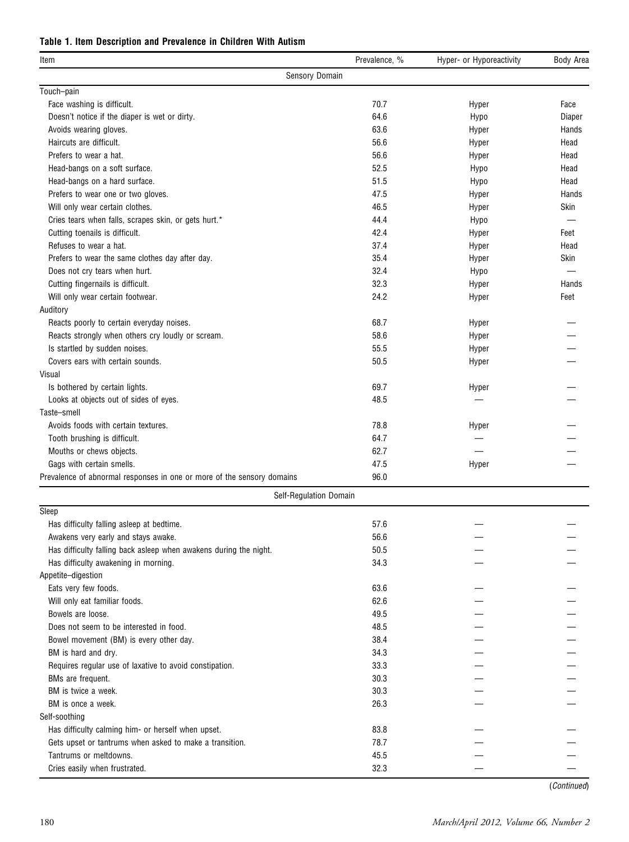#### Table 1. Item Description and Prevalence in Children With Autism

| ltem                                                                   | Prevalence, % | Hyper- or Hyporeactivity | <b>Body Area</b> |
|------------------------------------------------------------------------|---------------|--------------------------|------------------|
| Sensory Domain                                                         |               |                          |                  |
| Touch-pain                                                             |               |                          |                  |
| Face washing is difficult.                                             | 70.7          | Hyper                    | Face             |
| Doesn't notice if the diaper is wet or dirty.                          | 64.6          | Hypo                     | Diaper           |
| Avoids wearing gloves.                                                 | 63.6          | Hyper                    | Hands            |
| Haircuts are difficult.                                                | 56.6          | Hyper                    | Head             |
| Prefers to wear a hat.                                                 | 56.6          | Hyper                    | Head             |
| Head-bangs on a soft surface.                                          | 52.5          | Hypo                     | Head             |
| Head-bangs on a hard surface.                                          | 51.5          | Hypo                     | Head             |
| Prefers to wear one or two gloves.                                     | 47.5          | Hyper                    | Hands            |
| Will only wear certain clothes.                                        | 46.5          | Hyper                    | Skin             |
| Cries tears when falls, scrapes skin, or gets hurt.*                   | 44.4          | Hypo                     |                  |
| Cutting toenails is difficult.                                         | 42.4          | Hyper                    | Feet             |
| Refuses to wear a hat.                                                 | 37.4          | Hyper                    | Head             |
| Prefers to wear the same clothes day after day.                        | 35.4          | Hyper                    | Skin             |
| Does not cry tears when hurt.                                          | 32.4          | Hypo                     |                  |
| Cutting fingernails is difficult.                                      | 32.3          | Hyper                    | Hands            |
| Will only wear certain footwear.                                       | 24.2          | Hyper                    | Feet             |
| Auditory                                                               |               |                          |                  |
| Reacts poorly to certain everyday noises.                              | 68.7          | Hyper                    |                  |
| Reacts strongly when others cry loudly or scream.                      | 58.6          | Hyper                    |                  |
| Is startled by sudden noises.                                          | 55.5          | Hyper                    |                  |
| Covers ears with certain sounds.                                       | 50.5          | Hyper                    |                  |
| Visual                                                                 |               |                          |                  |
| Is bothered by certain lights.                                         | 69.7          | Hyper                    |                  |
| Looks at objects out of sides of eyes.                                 | 48.5          |                          |                  |
| Taste-smell                                                            |               |                          |                  |
| Avoids foods with certain textures.                                    | 78.8          | Hyper                    |                  |
| Tooth brushing is difficult.                                           | 64.7          |                          |                  |
| Mouths or chews objects.                                               | 62.7          |                          |                  |
| Gags with certain smells.                                              | 47.5          | Hyper                    |                  |
| Prevalence of abnormal responses in one or more of the sensory domains | 96.0          |                          |                  |
| Self-Regulation Domain                                                 |               |                          |                  |
| Sleep                                                                  |               |                          |                  |
| Has difficulty falling asleep at bedtime.                              | 57.6          |                          |                  |
| Awakens very early and stays awake.                                    | 56.6          |                          |                  |
| Has difficulty falling back asleep when awakens during the night.      | 50.5          |                          |                  |
| Has difficulty awakening in morning.                                   | 34.3          |                          |                  |
| Appetite-digestion                                                     |               |                          |                  |
| Eats very few foods.                                                   | 63.6          |                          |                  |
| Will only eat familiar foods.                                          | 62.6          |                          |                  |
| Bowels are loose.                                                      | 49.5          |                          |                  |
| Does not seem to be interested in food.                                | 48.5          |                          |                  |
| Bowel movement (BM) is every other day.                                | 38.4          |                          |                  |
| BM is hard and dry.                                                    | 34.3          |                          |                  |
| Requires regular use of laxative to avoid constipation.                | 33.3          |                          |                  |
| BMs are frequent.                                                      | 30.3          |                          |                  |
| BM is twice a week.                                                    | 30.3          |                          |                  |
| BM is once a week.                                                     | 26.3          |                          |                  |
| Self-soothing                                                          |               |                          |                  |
| Has difficulty calming him- or herself when upset.                     | 83.8          |                          |                  |
| Gets upset or tantrums when asked to make a transition.                | 78.7          |                          |                  |
| Tantrums or meltdowns.                                                 | 45.5          |                          |                  |
| Cries easily when frustrated.                                          | 32.3          |                          |                  |
|                                                                        |               |                          |                  |

(Continued)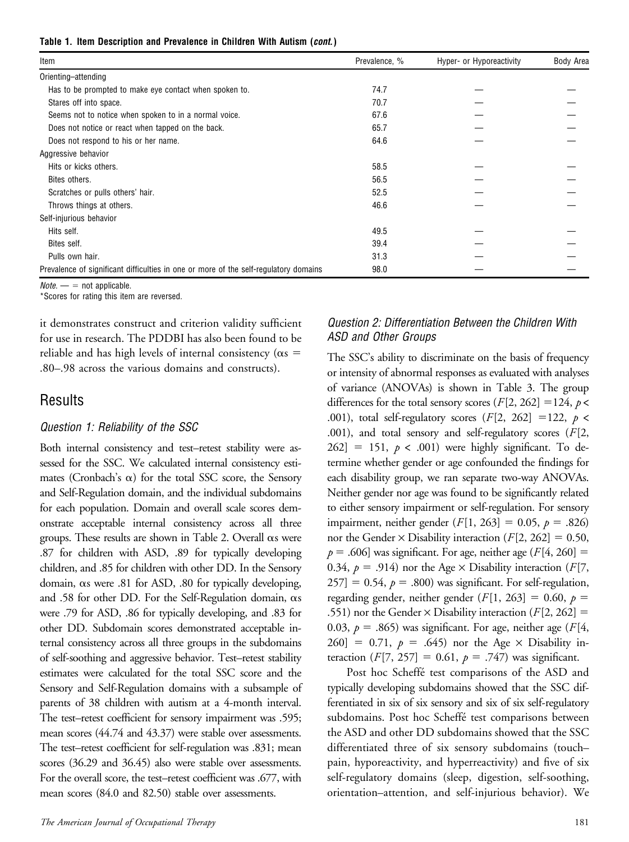|  |  | Table 1. Item Description and Prevalence in Children With Autism (cont.) |  |  |  |  |  |  |  |  |
|--|--|--------------------------------------------------------------------------|--|--|--|--|--|--|--|--|
|--|--|--------------------------------------------------------------------------|--|--|--|--|--|--|--|--|

| Item                                                                                 | Prevalence, % | Hyper- or Hyporeactivity | Body Area |
|--------------------------------------------------------------------------------------|---------------|--------------------------|-----------|
| Orienting-attending                                                                  |               |                          |           |
| Has to be prompted to make eye contact when spoken to.                               | 74.7          |                          |           |
| Stares off into space.                                                               | 70.7          |                          |           |
| Seems not to notice when spoken to in a normal voice.                                | 67.6          |                          |           |
| Does not notice or react when tapped on the back.                                    | 65.7          |                          |           |
| Does not respond to his or her name.                                                 | 64.6          |                          |           |
| Aggressive behavior                                                                  |               |                          |           |
| Hits or kicks others.                                                                | 58.5          |                          |           |
| Bites others.                                                                        | 56.5          |                          |           |
| Scratches or pulls others' hair.                                                     | 52.5          |                          |           |
| Throws things at others.                                                             | 46.6          |                          |           |
| Self-injurious behavior                                                              |               |                          |           |
| Hits self.                                                                           | 49.5          |                          |           |
| Bites self.                                                                          | 39.4          |                          |           |
| Pulls own hair.                                                                      | 31.3          |                          |           |
| Prevalence of significant difficulties in one or more of the self-regulatory domains | 98.0          |                          |           |

 $Note. - = not applicable.$ 

\*Scores for rating this item are reversed.

it demonstrates construct and criterion validity sufficient for use in research. The PDDBI has also been found to be reliable and has high levels of internal consistency ( $\alpha s =$ .80–.98 across the various domains and constructs).

### **Results**

#### Question 1: Reliability of the SSC

Both internal consistency and test–retest stability were assessed for the SSC. We calculated internal consistency estimates (Cronbach's  $\alpha$ ) for the total SSC score, the Sensory and Self-Regulation domain, and the individual subdomains for each population. Domain and overall scale scores demonstrate acceptable internal consistency across all three groups. These results are shown in Table 2. Overall  $\alpha$ s were .87 for children with ASD, .89 for typically developing children, and .85 for children with other DD. In the Sensory domain, as were .81 for ASD, .80 for typically developing, and .58 for other DD. For the Self-Regulation domain,  $\alpha s$ were .79 for ASD, .86 for typically developing, and .83 for other DD. Subdomain scores demonstrated acceptable internal consistency across all three groups in the subdomains of self-soothing and aggressive behavior. Test–retest stability estimates were calculated for the total SSC score and the Sensory and Self-Regulation domains with a subsample of parents of 38 children with autism at a 4-month interval. The test–retest coefficient for sensory impairment was .595; mean scores (44.74 and 43.37) were stable over assessments. The test–retest coefficient for self-regulation was .831; mean scores (36.29 and 36.45) also were stable over assessments. For the overall score, the test–retest coefficient was .677, with mean scores (84.0 and 82.50) stable over assessments.

# differences for the total sensory scores ( $F[2, 262] = 124$ ,  $p <$ .001), total self-regulatory scores  $(F[2, 262] = 122, p <$

ASD and Other Groups

.001), and total sensory and self-regulatory scores ( $F[2, 1]$  $262$ ] = 151,  $p < .001$ ) were highly significant. To determine whether gender or age confounded the findings for each disability group, we ran separate two-way ANOVAs. Neither gender nor age was found to be significantly related to either sensory impairment or self-regulation. For sensory impairment, neither gender (F[1, 263] = 0.05,  $p = .826$ ) nor the Gender  $\times$  Disability interaction (F[2, 262] = 0.50,  $p = .606$ ] was significant. For age, neither age (F[4, 260] = 0.34,  $p = .914$ ) nor the Age  $\times$  Disability interaction (F[7,  $[257] = 0.54$ ,  $p = .800$ ) was significant. For self-regulation, regarding gender, neither gender ( $F[1, 263] = 0.60$ ,  $p =$ .551) nor the Gender  $\times$  Disability interaction ( $F[2, 262] =$ 0.03,  $p = .865$ ) was significant. For age, neither age (F[4,  $260$ ] = 0.71,  $p = .645$ ) nor the Age  $\times$  Disability interaction ( $F[7, 257] = 0.61$ ,  $p = .747$ ) was significant.

Question 2: Differentiation Between the Children With

The SSC's ability to discriminate on the basis of frequency or intensity of abnormal responses as evaluated with analyses of variance (ANOVAs) is shown in Table 3. The group

Post hoc Scheffé test comparisons of the ASD and typically developing subdomains showed that the SSC differentiated in six of six sensory and six of six self-regulatory subdomains. Post hoc Scheffé test comparisons between the ASD and other DD subdomains showed that the SSC differentiated three of six sensory subdomains (touch– pain, hyporeactivity, and hyperreactivity) and five of six self-regulatory domains (sleep, digestion, self-soothing, orientation–attention, and self-injurious behavior). We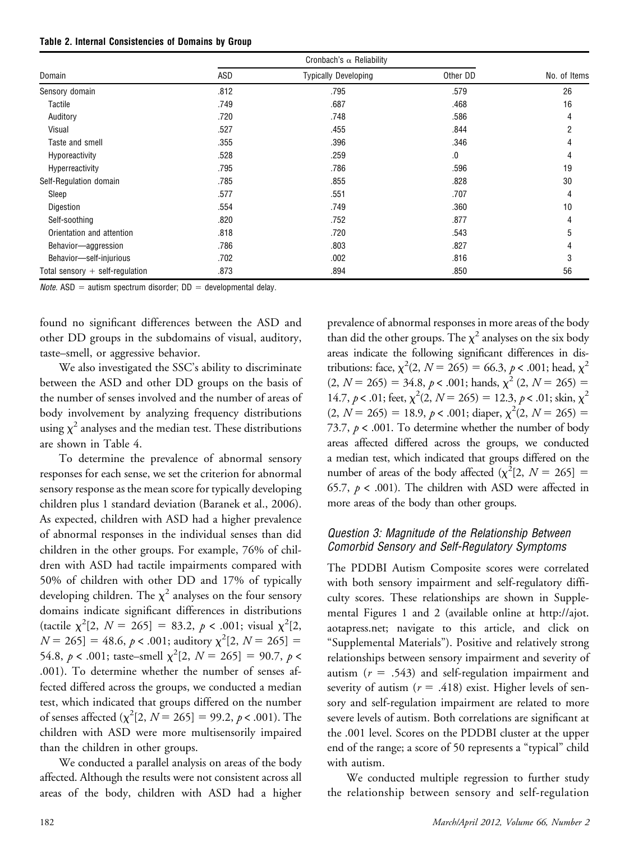| Table 2. Internal Consistencies of Domains by Group |  |  |  |
|-----------------------------------------------------|--|--|--|
|-----------------------------------------------------|--|--|--|

| Domain                            | ASD  | <b>Typically Developing</b> | Other DD | No. of Items |
|-----------------------------------|------|-----------------------------|----------|--------------|
| Sensory domain                    | .812 | .795                        | .579     | 26           |
| Tactile                           | .749 | .687                        | .468     | 16           |
| Auditory                          | .720 | .748                        | .586     | 4            |
| Visual                            | .527 | .455                        | .844     | 2            |
| Taste and smell                   | .355 | .396                        | .346     |              |
| Hyporeactivity                    | .528 | .259                        | .0       |              |
| Hyperreactivity                   | .795 | .786                        | .596     | 19           |
| Self-Regulation domain            | .785 | .855                        | .828     | 30           |
| Sleep                             | .577 | .551                        | .707     | 4            |
| Digestion                         | .554 | .749                        | .360     | 10           |
| Self-soothing                     | .820 | .752                        | .877     | 4            |
| Orientation and attention         | .818 | .720                        | .543     | 5            |
| Behavior-aggression               | .786 | .803                        | .827     |              |
| Behavior-self-injurious           | .702 | .002                        | .816     | 3            |
| Total sensory $+$ self-regulation | .873 | .894                        | .850     | 56           |

*Note.* ASD = autism spectrum disorder;  $DD =$  developmental delay.

found no significant differences between the ASD and other DD groups in the subdomains of visual, auditory, taste–smell, or aggressive behavior.

We also investigated the SSC's ability to discriminate between the ASD and other DD groups on the basis of the number of senses involved and the number of areas of body involvement by analyzing frequency distributions using  $\chi^2$  analyses and the median test. These distributions are shown in Table 4.

To determine the prevalence of abnormal sensory responses for each sense, we set the criterion for abnormal sensory response as the mean score for typically developing children plus 1 standard deviation (Baranek et al., 2006). As expected, children with ASD had a higher prevalence of abnormal responses in the individual senses than did children in the other groups. For example, 76% of children with ASD had tactile impairments compared with 50% of children with other DD and 17% of typically developing children. The  $\chi^2$  analyses on the four sensory domains indicate significant differences in distributions (tactile  $\chi^2[2, N = 265] = 83.2, p < .001$ ; visual  $\chi^2[2,$  $N = 265$ ] = 48.6,  $p < .001$ ; auditory  $\chi^2[2, N = 265]$  = 54.8,  $p < .001$ ; taste–smell  $\chi^2[2, N = 265] = 90.7$ ,  $p <$ .001). To determine whether the number of senses affected differed across the groups, we conducted a median test, which indicated that groups differed on the number of senses affected  $(\chi^2[2, N = 265] = 99.2, p < .001)$ . The children with ASD were more multisensorily impaired than the children in other groups.

We conducted a parallel analysis on areas of the body affected. Although the results were not consistent across all areas of the body, children with ASD had a higher prevalence of abnormal responses in more areas of the body than did the other groups. The  $\chi^2$  analyses on the six body areas indicate the following significant differences in distributions: face,  $\chi^2(2, N = 265) = 66.3, p < .001$ ; head,  $\chi^2$  $(2, N = 265) = 34.8, p < .001;$  hands,  $\chi^2$   $(2, N = 265) =$ 14.7,  $p < .01$ ; feet,  $\chi^2(2, N = 265) = 12.3$ ,  $p < .01$ ; skin,  $\chi^2$  $(2, N = 265) = 18.9, p < .001;$  diaper,  $\chi^2(2, N = 265) =$ 73.7,  $p < .001$ . To determine whether the number of body areas affected differed across the groups, we conducted a median test, which indicated that groups differed on the number of areas of the body affected  $(\chi^2[2, N = 265])$  = 65.7,  $p < .001$ ). The children with ASD were affected in more areas of the body than other groups.

#### Question 3: Magnitude of the Relationship Between Comorbid Sensory and Self-Regulatory Symptoms

The PDDBI Autism Composite scores were correlated with both sensory impairment and self-regulatory difficulty scores. These relationships are shown in Supplemental Figures 1 and 2 (available online at http://ajot. aotapress.net; navigate to this article, and click on "Supplemental Materials"). Positive and relatively strong relationships between sensory impairment and severity of autism  $(r = .543)$  and self-regulation impairment and severity of autism ( $r = .418$ ) exist. Higher levels of sensory and self-regulation impairment are related to more severe levels of autism. Both correlations are significant at the .001 level. Scores on the PDDBI cluster at the upper end of the range; a score of 50 represents a "typical" child with autism.

We conducted multiple regression to further study the relationship between sensory and self-regulation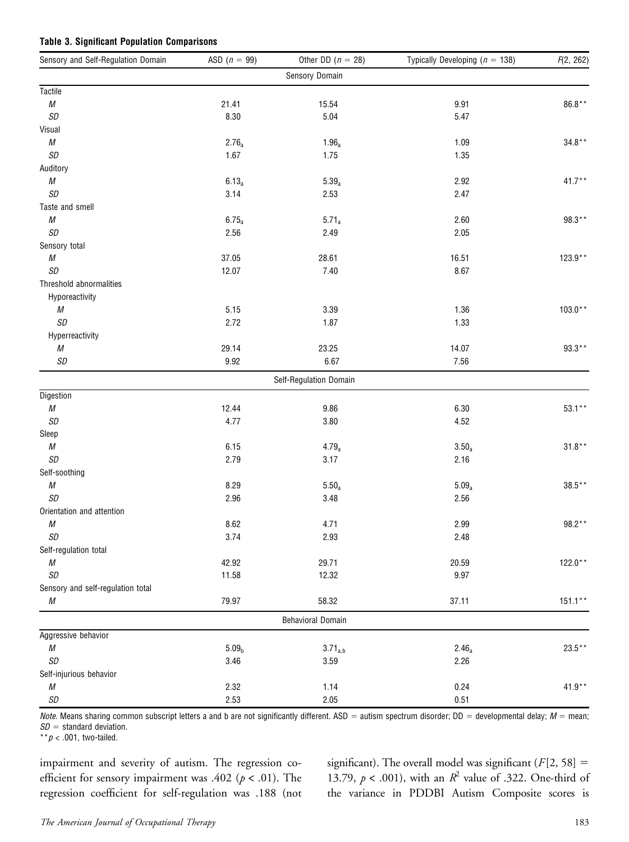#### Table 3. Significant Population Comparisons

| Sensory and Self-Regulation Domain | ASD $(n = 99)$    | Other DD $(n = 28)$      | Typically Developing ( $n = 138$ ) | F(2, 262)  |
|------------------------------------|-------------------|--------------------------|------------------------------------|------------|
|                                    |                   | Sensory Domain           |                                    |            |
| <b>Tactile</b>                     |                   |                          |                                    |            |
| ${\cal M}$                         | 21.41             | 15.54                    | 9.91                               | $86.8**$   |
| SD                                 | 8.30              | 5.04                     | 5.47                               |            |
| Visual                             |                   |                          |                                    |            |
| ${\cal M}$                         | $2.76_a$          | 1.96 <sub>a</sub>        | 1.09                               | $34.8**$   |
| SD                                 | 1.67              | 1.75                     | 1.35                               |            |
| Auditory                           |                   |                          |                                    |            |
| ${\cal M}$                         | $6.13_a$          | $5.39_a$                 | 2.92                               | $41.7**$   |
| SD                                 | 3.14              | 2.53                     | 2.47                               |            |
| Taste and smell                    |                   |                          |                                    |            |
| ${\cal M}$                         | $6.75_a$          | $5.71_a$                 | 2.60                               | 98.3**     |
| SD                                 | 2.56              | 2.49                     | 2.05                               |            |
| Sensory total                      |                   |                          |                                    |            |
| ${\cal M}$                         | 37.05             | 28.61                    | 16.51                              | $123.9**$  |
| SD                                 | 12.07             | 7.40                     | 8.67                               |            |
| Threshold abnormalities            |                   |                          |                                    |            |
| Hyporeactivity                     |                   |                          |                                    |            |
| М                                  | 5.15              | 3.39                     | 1.36                               | $103.0**$  |
| SD                                 | 2.72              | 1.87                     | 1.33                               |            |
| Hyperreactivity                    |                   |                          |                                    |            |
| М                                  | 29.14             | 23.25                    | 14.07                              | $93.3**$   |
| SD                                 | 9.92              | 6.67                     | 7.56                               |            |
|                                    |                   | Self-Regulation Domain   |                                    |            |
| Digestion                          |                   |                          |                                    |            |
| ${\cal M}$                         | 12.44             | 9.86                     | 6.30                               | $53.1**$   |
| SD                                 | 4.77              | 3.80                     | 4.52                               |            |
| Sleep                              |                   |                          |                                    |            |
| ${\cal M}$                         | 6.15              | $4.79_a$                 | $3.50_a$                           | $31.8**$   |
| SD                                 | 2.79              | 3.17                     | 2.16                               |            |
| Self-soothing                      |                   |                          |                                    |            |
| ${\cal M}$                         | 8.29              | $5.50_a$                 | $5.09_a$                           | $38.5**$   |
| SD                                 | 2.96              | 3.48                     | 2.56                               |            |
| Orientation and attention          |                   |                          |                                    |            |
| ${\cal M}$                         | 8.62              | 4.71                     | 2.99                               | 98.2**     |
| SD                                 | 3.74              | 2.93                     | 2.48                               |            |
| Self-regulation total              |                   |                          |                                    |            |
| ${\cal M}$                         | 42.92             | 29.71                    | 20.59                              | $122.0**$  |
| SD                                 | 11.58             | 12.32                    | 9.97                               |            |
| Sensory and self-regulation total  |                   |                          |                                    |            |
| М                                  | 79.97             | 58.32                    | 37.11                              | $151.1***$ |
|                                    |                   | <b>Behavioral Domain</b> |                                    |            |
| Aggressive behavior                |                   |                          |                                    |            |
| ${\cal M}$                         | 5.09 <sub>b</sub> | $3.71_{a,b}$             | $2.46_a$                           | $23.5**$   |
| SD                                 | 3.46              | 3.59                     | 2.26                               |            |
| Self-injurious behavior            |                   |                          |                                    |            |
| М                                  | 2.32              | 1.14                     | 0.24                               | $41.9**$   |
| SD                                 | 2.53              | 2.05                     | 0.51                               |            |

Note. Means sharing common subscript letters a and b are not significantly different. ASD = autism spectrum disorder; DD = developmental delay;  $M$  = mean;  $SD =$  standard deviation.

 $* p < .001$ , two-tailed.

impairment and severity of autism. The regression coefficient for sensory impairment was .402 ( $p < .01$ ). The regression coefficient for self-regulation was .188 (not significant). The overall model was significant ( $F[2, 58] =$ 13.79,  $p < .001$ ), with an  $R^2$  value of .322. One-third of the variance in PDDBI Autism Composite scores is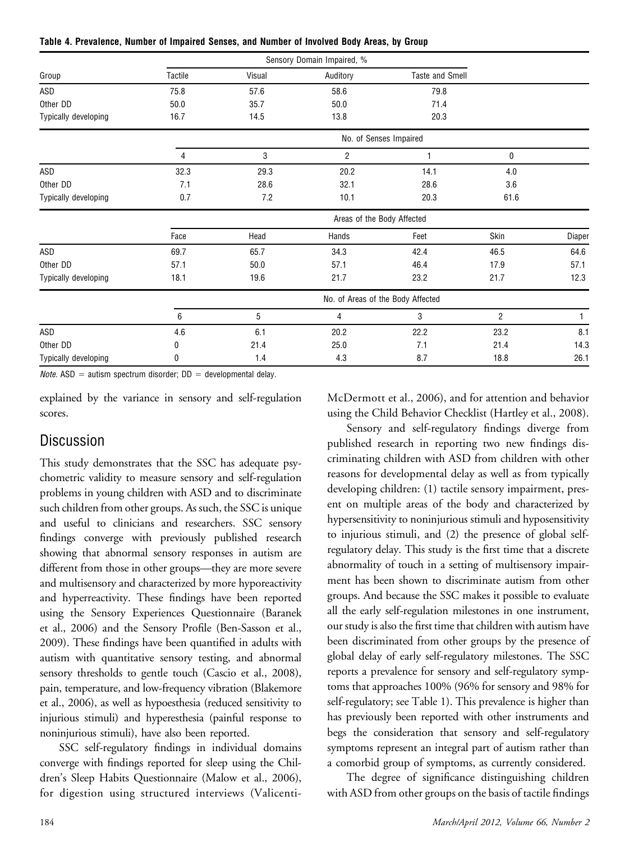|  |  | Table 4. Prevalence, Number of Impaired Senses, and Number of Involved Body Areas, by Group |  |  |
|--|--|---------------------------------------------------------------------------------------------|--|--|
|--|--|---------------------------------------------------------------------------------------------|--|--|

|                      |         |        | Sensory Domain Impaired, %        |                        |                |        |
|----------------------|---------|--------|-----------------------------------|------------------------|----------------|--------|
| Group                | Tactile | Visual | Auditory                          | <b>Taste and Smell</b> |                |        |
| ASD                  | 75.8    | 57.6   | 58.6                              | 79.8                   |                |        |
| Other DD             | 50.0    | 35.7   | 50.0                              | 71.4                   |                |        |
| Typically developing | 16.7    | 14.5   | 13.8                              | 20.3                   |                |        |
|                      |         |        |                                   | No. of Senses Impaired |                |        |
|                      | 4       | 3      | $\overline{2}$                    | 1                      | 0              |        |
| ASD                  | 32.3    | 29.3   | 20.2                              | 14.1                   | 4.0            |        |
| Other DD             | 7.1     | 28.6   | 32.1                              | 28.6                   | 3.6            |        |
| Typically developing | 0.7     | 7.2    | 10.1                              | 20.3                   | 61.6           |        |
|                      |         |        | Areas of the Body Affected        |                        |                |        |
|                      | Face    | Head   | Hands                             | Feet                   | Skin           | Diaper |
| ASD                  | 69.7    | 65.7   | 34.3                              | 42.4                   | 46.5           | 64.6   |
| Other DD             | 57.1    | 50.0   | 57.1                              | 46.4                   | 17.9           | 57.1   |
| Typically developing | 18.1    | 19.6   | 21.7                              | 23.2                   | 21.7           | 12.3   |
|                      |         |        | No. of Areas of the Body Affected |                        |                |        |
|                      | 6       | 5      | $\overline{4}$                    | 3                      | $\overline{2}$ | 1      |
| ASD                  | 4.6     | 6.1    | 20.2                              | 22.2                   | 23.2           | 8.1    |
| Other DD             | 0       | 21.4   | 25.0                              | 7.1                    | 21.4           | 14.3   |
| Typically developing | 0       | 1.4    | 4.3                               | 8.7                    | 18.8           | 26.1   |

*Note.* ASD = autism spectrum disorder:  $DD =$  developmental delay.

explained by the variance in sensory and self-regulation scores.

# **Discussion**

This study demonstrates that the SSC has adequate psychometric validity to measure sensory and self-regulation problems in young children with ASD and to discriminate such children from other groups. As such, the SSC is unique and useful to clinicians and researchers. SSC sensory findings converge with previously published research showing that abnormal sensory responses in autism are different from those in other groups—they are more severe and multisensory and characterized by more hyporeactivity and hyperreactivity. These findings have been reported using the Sensory Experiences Questionnaire (Baranek et al., 2006) and the Sensory Profile (Ben-Sasson et al., 2009). These findings have been quantified in adults with autism with quantitative sensory testing, and abnormal sensory thresholds to gentle touch (Cascio et al., 2008), pain, temperature, and low-frequency vibration (Blakemore et al., 2006), as well as hypoesthesia (reduced sensitivity to injurious stimuli) and hyperesthesia (painful response to noninjurious stimuli), have also been reported.

SSC self-regulatory findings in individual domains converge with findings reported for sleep using the Children's Sleep Habits Questionnaire (Malow et al., 2006), for digestion using structured interviews (ValicentiMcDermott et al., 2006), and for attention and behavior using the Child Behavior Checklist (Hartley et al., 2008).

Sensory and self-regulatory findings diverge from published research in reporting two new findings discriminating children with ASD from children with other reasons for developmental delay as well as from typically developing children: (1) tactile sensory impairment, present on multiple areas of the body and characterized by hypersensitivity to noninjurious stimuli and hyposensitivity to injurious stimuli, and (2) the presence of global selfregulatory delay. This study is the first time that a discrete abnormality of touch in a setting of multisensory impairment has been shown to discriminate autism from other groups. And because the SSC makes it possible to evaluate all the early self-regulation milestones in one instrument, our study is also the first time that children with autism have been discriminated from other groups by the presence of global delay of early self-regulatory milestones. The SSC reports a prevalence for sensory and self-regulatory symptoms that approaches 100% (96% for sensory and 98% for self-regulatory; see Table 1). This prevalence is higher than has previously been reported with other instruments and begs the consideration that sensory and self-regulatory symptoms represent an integral part of autism rather than a comorbid group of symptoms, as currently considered.

The degree of significance distinguishing children with ASD from other groups on the basis of tactile findings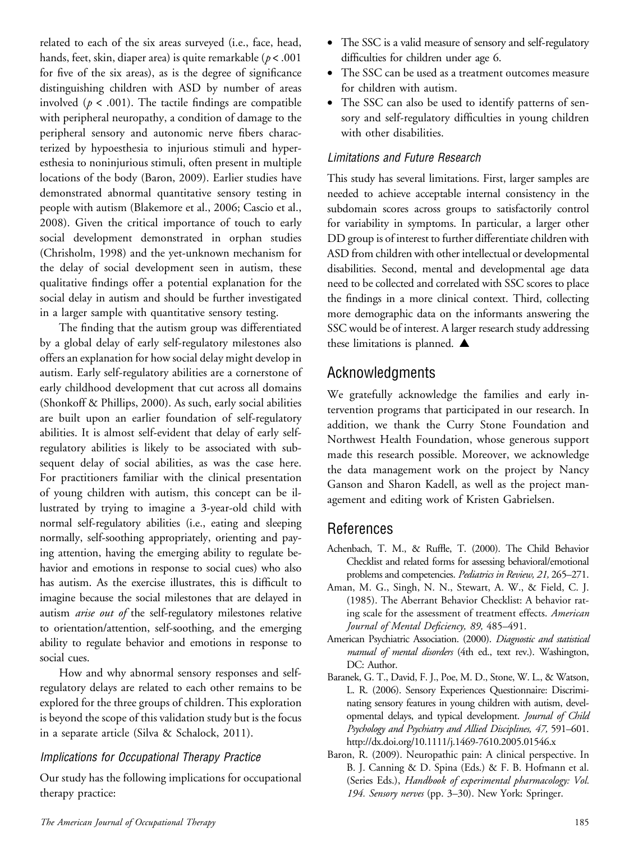related to each of the six areas surveyed (i.e., face, head, hands, feet, skin, diaper area) is quite remarkable  $(p < .001)$ for five of the six areas), as is the degree of significance distinguishing children with ASD by number of areas involved ( $p < .001$ ). The tactile findings are compatible with peripheral neuropathy, a condition of damage to the peripheral sensory and autonomic nerve fibers characterized by hypoesthesia to injurious stimuli and hyperesthesia to noninjurious stimuli, often present in multiple locations of the body (Baron, 2009). Earlier studies have demonstrated abnormal quantitative sensory testing in people with autism (Blakemore et al., 2006; Cascio et al., 2008). Given the critical importance of touch to early social development demonstrated in orphan studies (Chrisholm, 1998) and the yet-unknown mechanism for the delay of social development seen in autism, these qualitative findings offer a potential explanation for the social delay in autism and should be further investigated in a larger sample with quantitative sensory testing.

The finding that the autism group was differentiated by a global delay of early self-regulatory milestones also offers an explanation for how social delay might develop in autism. Early self-regulatory abilities are a cornerstone of early childhood development that cut across all domains (Shonkoff & Phillips, 2000). As such, early social abilities are built upon an earlier foundation of self-regulatory abilities. It is almost self-evident that delay of early selfregulatory abilities is likely to be associated with subsequent delay of social abilities, as was the case here. For practitioners familiar with the clinical presentation of young children with autism, this concept can be illustrated by trying to imagine a 3-year-old child with normal self-regulatory abilities (i.e., eating and sleeping normally, self-soothing appropriately, orienting and paying attention, having the emerging ability to regulate behavior and emotions in response to social cues) who also has autism. As the exercise illustrates, this is difficult to imagine because the social milestones that are delayed in autism arise out of the self-regulatory milestones relative to orientation/attention, self-soothing, and the emerging ability to regulate behavior and emotions in response to social cues.

How and why abnormal sensory responses and selfregulatory delays are related to each other remains to be explored for the three groups of children. This exploration is beyond the scope of this validation study but is the focus in a separate article (Silva & Schalock, 2011).

#### Implications for Occupational Therapy Practice

Our study has the following implications for occupational therapy practice:

- The SSC is a valid measure of sensory and self-regulatory difficulties for children under age 6.
- The SSC can be used as a treatment outcomes measure for children with autism.
- The SSC can also be used to identify patterns of sensory and self-regulatory difficulties in young children with other disabilities.

#### Limitations and Future Research

This study has several limitations. First, larger samples are needed to achieve acceptable internal consistency in the subdomain scores across groups to satisfactorily control for variability in symptoms. In particular, a larger other DD group is of interest to further differentiate children with ASD from children with other intellectual or developmental disabilities. Second, mental and developmental age data need to be collected and correlated with SSC scores to place the findings in a more clinical context. Third, collecting more demographic data on the informants answering the SSC would be of interest. A larger research study addressing these limitations is planned.  $\blacktriangle$ 

# Acknowledgments

We gratefully acknowledge the families and early intervention programs that participated in our research. In addition, we thank the Curry Stone Foundation and Northwest Health Foundation, whose generous support made this research possible. Moreover, we acknowledge the data management work on the project by Nancy Ganson and Sharon Kadell, as well as the project management and editing work of Kristen Gabrielsen.

# References

- Achenbach, T. M., & Ruffle, T. (2000). The Child Behavior Checklist and related forms for assessing behavioral/emotional problems and competencies. Pediatrics in Review, 21, 265–271.
- Aman, M. G., Singh, N. N., Stewart, A. W., & Field, C. J. (1985). The Aberrant Behavior Checklist: A behavior rating scale for the assessment of treatment effects. American Journal of Mental Deficiency, 89, 485–491.
- American Psychiatric Association. (2000). Diagnostic and statistical manual of mental disorders (4th ed., text rev.). Washington, DC: Author.
- Baranek, G. T., David, F. J., Poe, M. D., Stone, W. L., & Watson, L. R. (2006). Sensory Experiences Questionnaire: Discriminating sensory features in young children with autism, developmental delays, and typical development. Journal of Child Psychology and Psychiatry and Allied Disciplines, 47, 591–601. http://dx.doi.org/10.1111/j.1469-7610.2005.01546.x
- Baron, R. (2009). Neuropathic pain: A clinical perspective. In B. J. Canning & D. Spina (Eds.) & F. B. Hofmann et al. (Series Eds.), Handbook of experimental pharmacology: Vol. 194. Sensory nerves (pp. 3-30). New York: Springer.